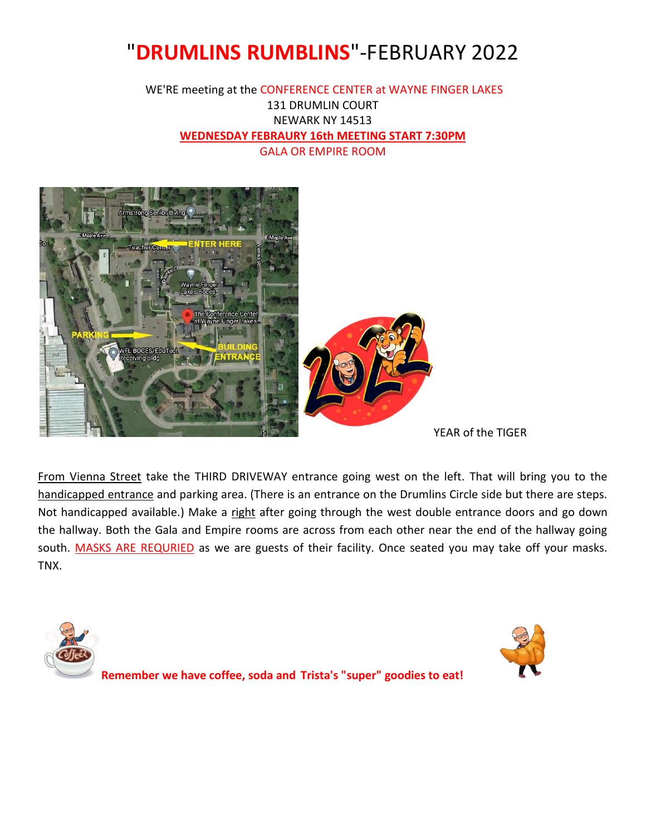# "**DRUMLINS RUMBLINS**"-FEBRUARY 2022

#### WE'RE meeting at the CONFERENCE CENTER at WAYNE FINGER LAKES 131 DRUMLIN COURT NEWARK NY 14513 **WEDNESDAY FEBRAURY 16th MEETING START 7:30PM** GALA OR EMPIRE ROOM



YEAR of the TIGER

From Vienna Street take the THIRD DRIVEWAY entrance going west on the left. That will bring you to the handicapped entrance and parking area. (There is an entrance on the Drumlins Circle side but there are steps. Not handicapped available.) Make a right after going through the west double entrance doors and go down the hallway. Both the Gala and Empire rooms are across from each other near the end of the hallway going south. MASKS ARE REQURIED as we are guests of their facility. Once seated you may take off your masks. TNX.

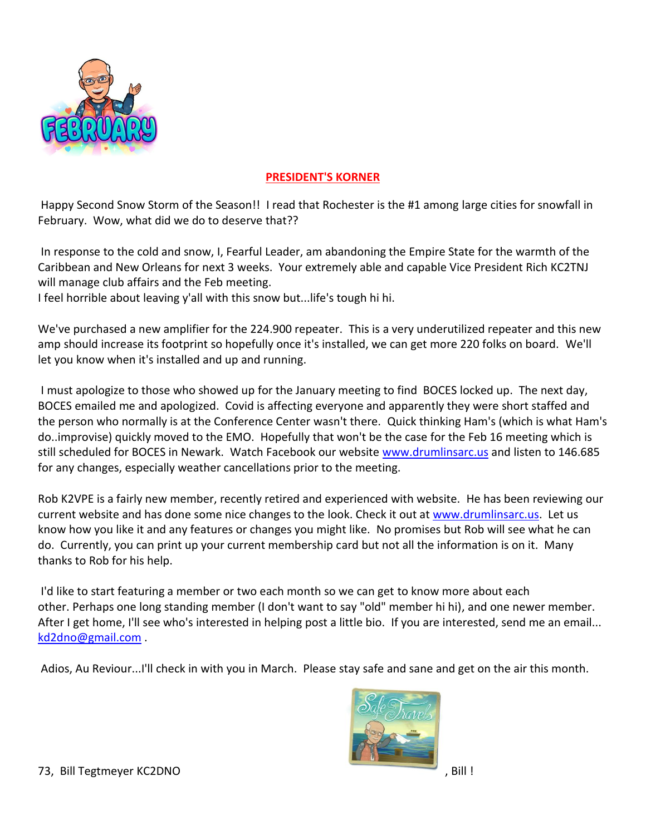

#### **PRESIDENT'S KORNER**

Happy Second Snow Storm of the Season!! I read that Rochester is the #1 among large cities for snowfall in February. Wow, what did we do to deserve that??

In response to the cold and snow, I, Fearful Leader, am abandoning the Empire State for the warmth of the Caribbean and New Orleans for next 3 weeks. Your extremely able and capable Vice President Rich KC2TNJ will manage club affairs and the Feb meeting.

I feel horrible about leaving y'all with this snow but...life's tough hi hi.

We've purchased a new amplifier for the 224.900 repeater. This is a very underutilized repeater and this new amp should increase its footprint so hopefully once it's installed, we can get more 220 folks on board. We'll let you know when it's installed and up and running.

I must apologize to those who showed up for the January meeting to find BOCES locked up. The next day, BOCES emailed me and apologized. Covid is affecting everyone and apparently they were short staffed and the person who normally is at the Conference Center wasn't there. Quick thinking Ham's (which is what Ham's do..improvise) quickly moved to the EMO. Hopefully that won't be the case for the Feb 16 meeting which is still scheduled for BOCES in Newark. Watch Facebook our website [www.drumlinsarc.us](http://www.drumlinsarc.us/) and listen to 146.685 for any changes, especially weather cancellations prior to the meeting.

Rob K2VPE is a fairly new member, recently retired and experienced with website. He has been reviewing our current website and has done some nice changes to the look. Check it out at [www.drumlinsarc.us.](http://www.drumlinsarc.us/) Let us know how you like it and any features or changes you might like. No promises but Rob will see what he can do. Currently, you can print up your current membership card but not all the information is on it. Many thanks to Rob for his help.

I'd like to start featuring a member or two each month so we can get to know more about each other. Perhaps one long standing member (I don't want to say "old" member hi hi), and one newer member. After I get home, I'll see who's interested in helping post a little bio. If you are interested, send me an email... [kd2dno@gmail.com](mailto:kd2dno@gmail.com) .

Adios, Au Reviour...I'll check in with you in March. Please stay safe and sane and get on the air this month.

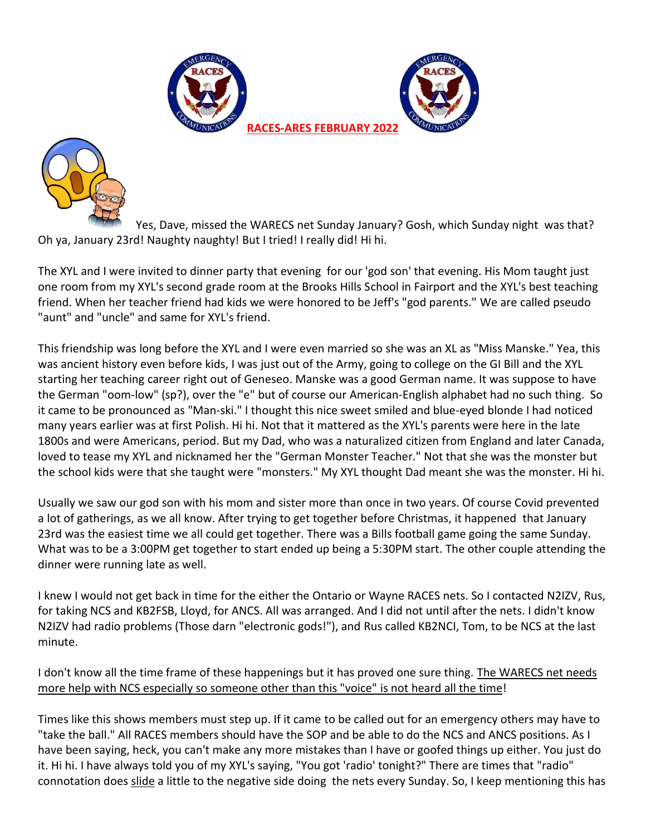





Yes, Dave, missed the WARECS net Sunday January? Gosh, which Sunday night was that? Oh ya, January 23rd! Naughty naughty! But I tried! I really did! Hi hi.

The XYL and I were invited to dinner party that evening for our 'god son' that evening. His Mom taught just one room from my XYL's second grade room at the Brooks Hills School in Fairport and the XYL's best teaching friend. When her teacher friend had kids we were honored to be Jeff's "god parents." We are called pseudo "aunt" and "uncle" and same for XYL's friend.

This friendship was long before the XYL and I were even married so she was an XL as "Miss Manske." Yea, this was ancient history even before kids, I was just out of the Army, going to college on the GI Bill and the XYL starting her teaching career right out of Geneseo. Manske was a good German name. It was suppose to have the German "oom-low" (sp?), over the "e" but of course our American-English alphabet had no such thing. So it came to be pronounced as "Man-ski." I thought this nice sweet smiled and blue-eyed blonde I had noticed many years earlier was at first Polish. Hi hi. Not that it mattered as the XYL's parents were here in the late 1800s and were Americans, period. But my Dad, who was a naturalized citizen from England and later Canada, loved to tease my XYL and nicknamed her the "German Monster Teacher." Not that she was the monster but the school kids were that she taught were "monsters." My XYL thought Dad meant she was the monster. Hi hi.

Usually we saw our god son with his mom and sister more than once in two years. Of course Covid prevented a lot of gatherings, as we all know. After trying to get together before Christmas, it happened that January 23rd was the easiest time we all could get together. There was a Bills football game going the same Sunday. What was to be a 3:00PM get together to start ended up being a 5:30PM start. The other couple attending the dinner were running late as well.

I knew I would not get back in time for the either the Ontario or Wayne RACES nets. So I contacted N2IZV, Rus, for taking NCS and KB2FSB, Lloyd, for ANCS. All was arranged. And I did not until after the nets. I didn't know N2IZV had radio problems (Those darn "electronic gods!"), and Rus called KB2NCI, Tom, to be NCS at the last minute.

I don't know all the time frame of these happenings but it has proved one sure thing. The WARECS net needs more help with NCS especially so someone other than this "voice" is not heard all the time!

Times like this shows members must step up. If it came to be called out for an emergency others may have to "take the ball." All RACES members should have the SOP and be able to do the NCS and ANCS positions. As I have been saying, heck, you can't make any more mistakes than I have or goofed things up either. You just do it. Hi hi. I have always told you of my XYL's saying, "You got 'radio' tonight?" There are times that "radio" connotation does slide a little to the negative side doing the nets every Sunday. So, I keep mentioning this has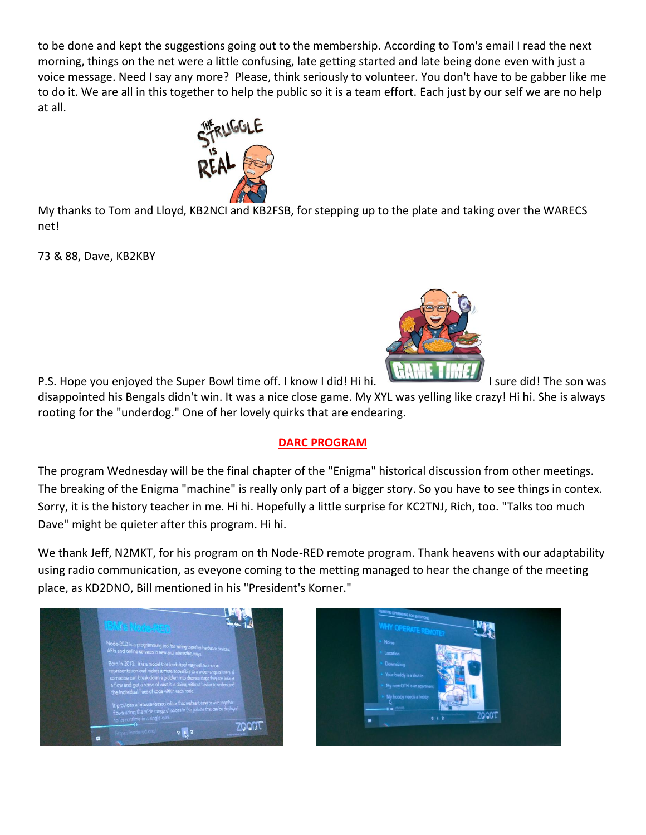to be done and kept the suggestions going out to the membership. According to Tom's email I read the next morning, things on the net were a little confusing, late getting started and late being done even with just a voice message. Need I say any more? Please, think seriously to volunteer. You don't have to be gabber like me to do it. We are all in this together to help the public so it is a team effort. Each just by our self we are no help at all.



My thanks to Tom and Lloyd, KB2NCI and KB2FSB, for stepping up to the plate and taking over the WARECS net!

73 & 88, Dave, KB2KBY



P.S. Hope you enjoyed the Super Bowl time off. I know I did! Hi hi. I sull the did! The son was disappointed his Bengals didn't win. It was a nice close game. My XYL was yelling like crazy! Hi hi. She is always rooting for the "underdog." One of her lovely quirks that are endearing.

### **DARC PROGRAM**

The program Wednesday will be the final chapter of the "Enigma" historical discussion from other meetings. The breaking of the Enigma "machine" is really only part of a bigger story. So you have to see things in contex. Sorry, it is the history teacher in me. Hi hi. Hopefully a little surprise for KC2TNJ, Rich, too. "Talks too much Dave" might be quieter after this program. Hi hi.

We thank Jeff, N2MKT, for his program on th Node-RED remote program. Thank heavens with our adaptability using radio communication, as eveyone coming to the metting managed to hear the change of the meeting place, as KD2DNO, Bill mentioned in his "President's Korner."



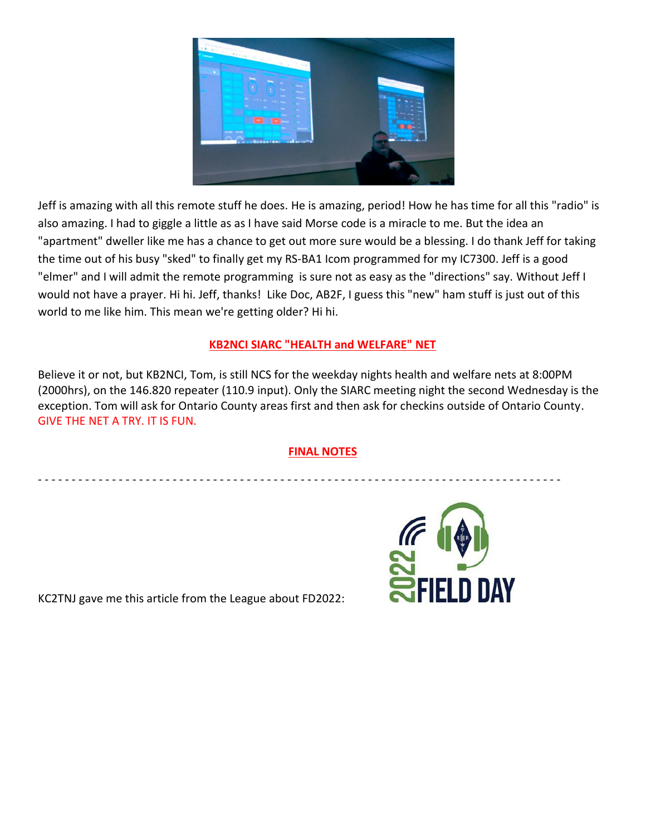

Jeff is amazing with all this remote stuff he does. He is amazing, period! How he has time for all this "radio" is also amazing. I had to giggle a little as as I have said Morse code is a miracle to me. But the idea an "apartment" dweller like me has a chance to get out more sure would be a blessing. I do thank Jeff for taking the time out of his busy "sked" to finally get my RS-BA1 Icom programmed for my IC7300. Jeff is a good "elmer" and I will admit the remote programming is sure not as easy as the "directions" say. Without Jeff I would not have a prayer. Hi hi. Jeff, thanks! Like Doc, AB2F, I guess this "new" ham stuff is just out of this world to me like him. This mean we're getting older? Hi hi.

### **KB2NCI SIARC "HEALTH and WELFARE" NET**

Believe it or not, but KB2NCI, Tom, is still NCS for the weekday nights health and welfare nets at 8:00PM (2000hrs), on the 146.820 repeater (110.9 input). Only the SIARC meeting night the second Wednesday is the exception. Tom will ask for Ontario County areas first and then ask for checkins outside of Ontario County. GIVE THE NET A TRY. IT IS FUN.

#### **FINAL NOTES**

- - - - - - - - - - - - - - - - - - - - - - - - - - - - - - - - - - - - - - - - - - - - - - - - - - - - - - - - - - - - - - - - - - - - - - - - - - - - - -

KC2TNJ gave me this article from the League about FD2022:

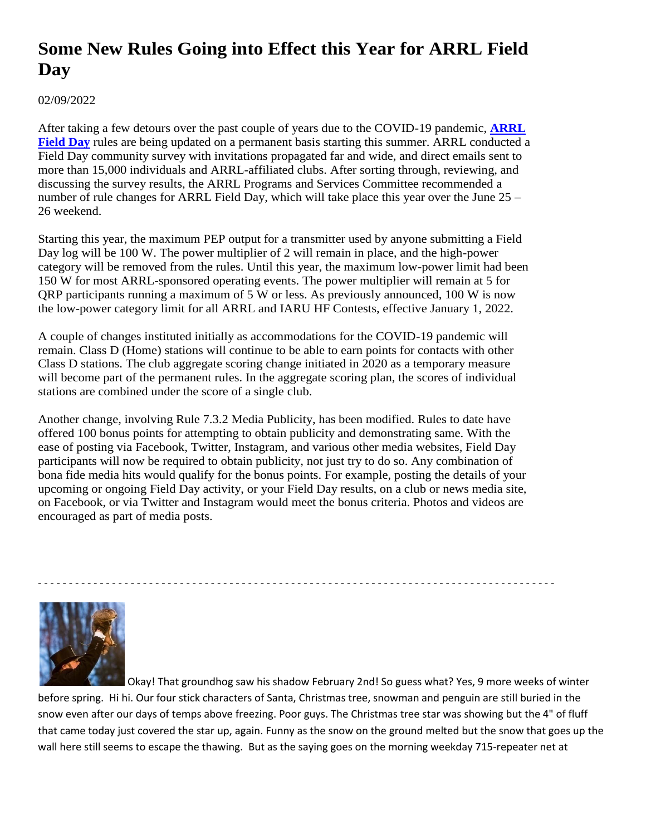## **Some New Rules Going into Effect this Year for ARRL Field Day**

02/09/2022

After taking a few detours over the past couple of years due to the COVID-19 pandemic, **ARRL Field Day** rules are being updated on a permanent basis starting this summer. ARRL conducted a Field Day community survey with invitations propagated far and wide, and direct emails sent to more than 15,000 individuals and ARRL-affiliated clubs. After sorting through, reviewing, and discussing the survey results, the ARRL Programs and Services Committee recommended a number of rule changes for ARRL Field Day, which will take place this year over the June 25 – 26 weekend.

Starting this year, the maximum PEP output for a transmitter used by anyone submitting a Field Day log will be 100 W. The power multiplier of 2 will remain in place, and the high-power category will be removed from the rules. Until this year, the maximum low-power limit had been 150 W for most ARRL-sponsored operating events. The power multiplier will remain at 5 for QRP participants running a maximum of 5 W or less. As previously announced, 100 W is now the low-power category limit for all ARRL and IARU HF Contests, effective January 1, 2022.

A couple of changes instituted initially as accommodations for the COVID-19 pandemic will remain. Class D (Home) stations will continue to be able to earn points for contacts with other Class D stations. The club aggregate scoring change initiated in 2020 as a temporary measure will become part of the permanent rules. In the aggregate scoring plan, the scores of individual stations are combined under the score of a single club.

Another change, involving Rule 7.3.2 Media Publicity, has been modified. Rules to date have offered 100 bonus points for attempting to obtain publicity and demonstrating same. With the ease of posting via Facebook, Twitter, Instagram, and various other media websites, Field Day participants will now be required to obtain publicity, not just try to do so. Any combination of bona fide media hits would qualify for the bonus points. For example, posting the details of your upcoming or ongoing Field Day activity, or your Field Day results, on a club or news media site, on Facebook, or via Twitter and Instagram would meet the bonus criteria. Photos and videos are encouraged as part of media posts.



Okay! That groundhog saw his shadow February 2nd! So guess what? Yes, 9 more weeks of winter before spring. Hi hi. Our four stick characters of Santa, Christmas tree, snowman and penguin are still buried in the snow even after our days of temps above freezing. Poor guys. The Christmas tree star was showing but the 4" of fluff that came today just covered the star up, again. Funny as the snow on the ground melted but the snow that goes up the wall here still seems to escape the thawing. But as the saying goes on the morning weekday 715-repeater net at

- - - - - - - - - - - - - - - - - - - - - - - - - - - - - - - - - - - - - - - - - - - - - - - - - - - - - - - - - - - - - - - - - - - - - - - - - - - - - - - - - - - -